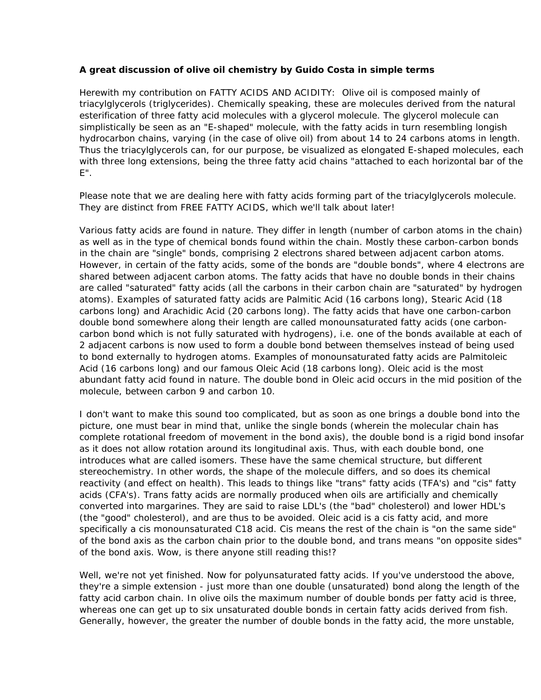## **A great discussion of olive oil chemistry by Guido Costa in simple terms**

Herewith my contribution on FATTY ACIDS AND ACIDITY: Olive oil is composed mainly of triacylglycerols (triglycerides). Chemically speaking, these are molecules derived from the natural esterification of three fatty acid molecules with a glycerol molecule. The glycerol molecule can simplistically be seen as an "E-shaped" molecule, with the fatty acids in turn resembling longish hydrocarbon chains, varying (in the case of olive oil) from about 14 to 24 carbons atoms in length. Thus the triacylglycerols can, for our purpose, be visualized as elongated E-shaped molecules, each with three long extensions, being the three fatty acid chains "attached to each horizontal bar of the E".

Please note that we are dealing here with fatty acids forming part of the triacylglycerols molecule. They are distinct from FREE FATTY ACIDS, which we'll talk about later!

Various fatty acids are found in nature. They differ in length (number of carbon atoms in the chain) as well as in the type of chemical bonds found within the chain. Mostly these carbon-carbon bonds in the chain are "single" bonds, comprising 2 electrons shared between adjacent carbon atoms. However, in certain of the fatty acids, some of the bonds are "double bonds", where 4 electrons are shared between adjacent carbon atoms. The fatty acids that have no double bonds in their chains are called "saturated" fatty acids (all the carbons in their carbon chain are "saturated" by hydrogen atoms). Examples of saturated fatty acids are Palmitic Acid (16 carbons long), Stearic Acid (18 carbons long) and Arachidic Acid (20 carbons long). The fatty acids that have one carbon-carbon double bond somewhere along their length are called monounsaturated fatty acids (one carboncarbon bond which is not fully saturated with hydrogens), i.e. one of the bonds available at each of 2 adjacent carbons is now used to form a double bond between themselves instead of being used to bond externally to hydrogen atoms. Examples of monounsaturated fatty acids are Palmitoleic Acid (16 carbons long) and our famous Oleic Acid (18 carbons long). Oleic acid is the most abundant fatty acid found in nature. The double bond in Oleic acid occurs in the mid position of the molecule, between carbon 9 and carbon 10.

I don't want to make this sound too complicated, but as soon as one brings a double bond into the picture, one must bear in mind that, unlike the single bonds (wherein the molecular chain has complete rotational freedom of movement in the bond axis), the double bond is a rigid bond insofar as it does not allow rotation around its longitudinal axis. Thus, with each double bond, one introduces what are called isomers. These have the same chemical structure, but different stereochemistry. In other words, the shape of the molecule differs, and so does its chemical reactivity (and effect on health). This leads to things like "trans" fatty acids (TFA's) and "cis" fatty acids (CFA's). Trans fatty acids are normally produced when oils are artificially and chemically converted into margarines. They are said to raise LDL's (the "bad" cholesterol) and lower HDL's (the "good" cholesterol), and are thus to be avoided. Oleic acid is a cis fatty acid, and more specifically a cis monounsaturated C18 acid. Cis means the rest of the chain is "on the same side" of the bond axis as the carbon chain prior to the double bond, and trans means "on opposite sides" of the bond axis. Wow, is there anyone still reading this!?

Well, we're not yet finished. Now for polyunsaturated fatty acids. If you've understood the above, they're a simple extension - just more than one double (unsaturated) bond along the length of the fatty acid carbon chain. In olive oils the maximum number of double bonds per fatty acid is three, whereas one can get up to six unsaturated double bonds in certain fatty acids derived from fish. Generally, however, the greater the number of double bonds in the fatty acid, the more unstable,